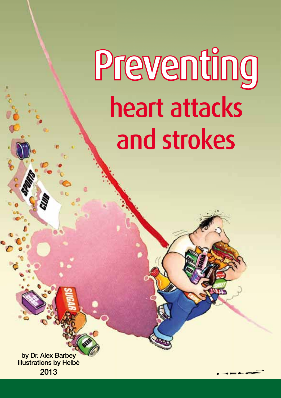## **Preventing** heart attacks and strokes

by Dr. Alex Barbey illustrations by Helbé 2013

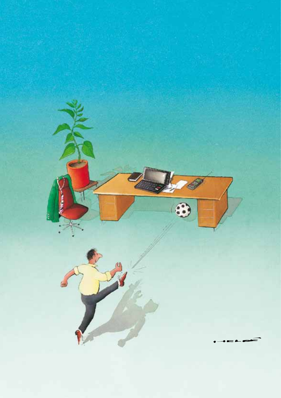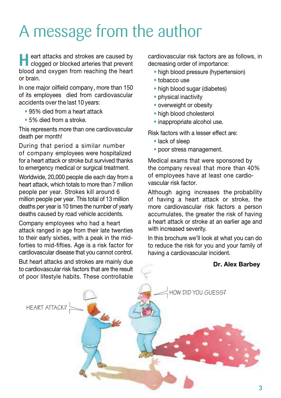## A message from the author

**Heart attacks and strokes are caused by clogged or blocked arteries that prevent** blood and oxygen from reaching the heart or brain.

In one major oilfield company, more than 150 of its employees died from cardiovascular accidents over the last 10 years:

- 95% died from a heart attack
- 5% died from a stroke.

This represents more than one cardiovascular death per month!

During that period a similar number of company employees were hospitalized for a heart attack or stroke but survived thanks to emergency medical or surgical treatment.

Worldwide, 20,000 people die each day from a heart attack, which totals to more than 7 million people per year. Strokes kill around 6 million people per year. This total of 13 million deaths per year is 10 times the number of yearly deaths caused by road vehicle accidents.

Company employees who had a heart attack ranged in age from their late twenties to their early sixties, with a peak in the midforties to mid-fifties. Age is a risk factor for cardiovascular disease that you cannot control.

But heart attacks and strokes are mainly due to cardiovascular risk factors that are the result of poor lifestyle habits. These controllable

HEART ATTACK?

cardiovascular risk factors are as follows, in decreasing order of importance:

- high blood pressure (hypertension)
- tobacco use
- high blood sugar (diabetes)
- physical inactivity
- overweight or obesity
- high blood cholesterol
- inappropriate alcohol use.

Risk factors with a lesser effect are:

- lack of sleep
- poor stress management.

Medical exams that were sponsored by the company reveal that more than 40% of employees have at least one cardiovascular risk factor.

Although aging increases the probability of having a heart attack or stroke, the more cardiovascular risk factors a person accumulates, the greater the risk of having a heart attack or stroke at an earlier age and with increased severity.

In this brochure we'll look at what you can do to reduce the risk for you and your family of having a cardiovascular incident.

#### **Dr. Alex Barbey**

 $\frac{1}{1}$ HOW DID YOU GUESS?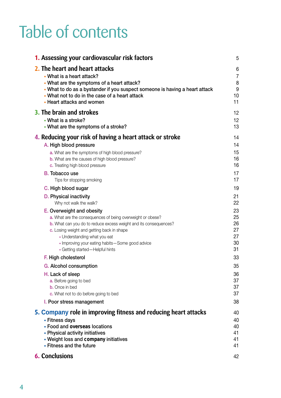## Table of contents

| 1. Assessing your cardiovascular risk factors                               | 5  |
|-----------------------------------------------------------------------------|----|
| 2. The heart and heart attacks                                              | 6  |
| . What is a heart attack?                                                   | 7  |
| . What are the symptoms of a heart attack?                                  | 8  |
| • What to do as a bystander if you suspect someone is having a heart attack | 9  |
| • What not to do in the case of a heart attack                              | 10 |
| • Heart attacks and women                                                   | 11 |
| 3. The brain and strokes                                                    | 12 |
| • What is a stroke?                                                         | 12 |
| • What are the symptoms of a stroke?                                        | 13 |
| 4. Reducing your risk of having a heart attack or stroke                    | 14 |
| A. High blood pressure                                                      | 14 |
| a. What are the symptoms of high blood pressure?                            | 15 |
| <b>b.</b> What are the causes of high blood pressure?                       | 16 |
| c. Treating high blood pressure                                             | 16 |
| B. Tobacco use                                                              | 17 |
| Tips for stopping smoking                                                   | 17 |
| C. High blood sugar                                                         | 19 |
| D. Physical inactivity                                                      | 21 |
| Why not walk the walk?                                                      | 22 |
| E. Overweight and obesity                                                   | 23 |
| a. What are the consequences of being overweight or obese?                  | 25 |
| <b>b.</b> What can you do to reduce excess weight and its consequences?     | 26 |
| c. Losing weight and getting back in shape                                  | 27 |
| • Understanding what you eat                                                | 27 |
| • Improving your eating habits-Some good advice                             | 30 |
| • Getting started-Helpful hints                                             | 31 |
| F. High cholesterol                                                         | 33 |
| G. Alcohol consumption                                                      | 35 |
| H. Lack of sleep                                                            | 36 |
| a. Before going to bed                                                      | 37 |
| <b>b.</b> Once in bed                                                       | 37 |
| c. What not to do before going to bed                                       | 37 |
| I. Poor stress management                                                   | 38 |
| 5. Company role in improving fitness and reducing heart attacks             | 40 |
| • Fitness days                                                              | 40 |
| • Food and overseas locations                                               | 40 |
| • Physical activity initiatives                                             | 41 |
| • Weight loss and <b>company</b> initiatives                                | 41 |
| • Fitness and the future                                                    | 41 |
| <b>6. Conclusions</b>                                                       | 42 |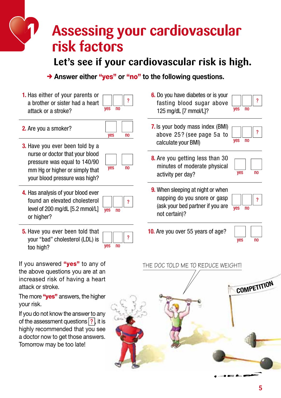## **Assessing your cardiovascular risk factors**

**Let's see if your cardiovascular risk is high.**

**→ Answer either "yes" or "no"** to the following questions.

 **1.** Has either of your parents or a brother or sister had a heart attack or a stroke?

 $Vf$ 

**2.** Are you a smoker?



**3.** Have you ever been told by a nurse or doctor that your blood pressure was equal to 140/90 mm Hg or higher or simply that your blood pressure was high?

| 'es<br>y | no |
|----------|----|
|          |    |

**4.** Has analysis of your blood ever found an elevated cholesterol level of 200 mg/dL [5.2 mmol/L] ves no or higher?



 **5.** Have you ever been told that your "bad" cholesterol (LDL) is too high?



If you answered "ves" to any of the above questions you are at an increased risk of having a heart attack or stroke.

The more "yes" answers, the higher your risk.

If you do not know the answer to any of the assessment questions  $\overline{?}$ , it is highly recommended that you see a doctor now to get those answers. Tomorrow may be too late!

- **6.** Do you have diabetes or is your fasting blood sugar above 125 mg/dL [7 mmol/L]? yes no
- **7.** Is your body mass index (BMI) above 25 ? (see page 5a to calculate your BMI)



?

 **8.** Are you getting less than 30 minutes of moderate physical activity per day?

| 'es | no |
|-----|----|
|     |    |

- **9.** When sleeping at night or when napping do you snore or gasp (ask your bed partner if you are not certain)?
- **10.** Are you over 55 years of age?



?

yes no

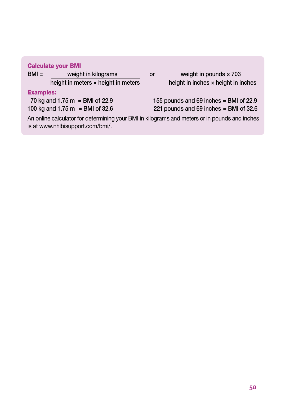|                                                                                                                                   | <b>Calculate your BMI</b>           |                                          |  |
|-----------------------------------------------------------------------------------------------------------------------------------|-------------------------------------|------------------------------------------|--|
| $BMI =$                                                                                                                           | weight in kilograms                 | weight in pounds $\times$ 703<br>or      |  |
|                                                                                                                                   | height in meters x height in meters | height in inches x height in inches      |  |
| <b>Examples:</b>                                                                                                                  |                                     |                                          |  |
| 70 kg and 1.75 m = BMI of 22.9                                                                                                    |                                     | 155 pounds and 69 inches = BMI of 22.9   |  |
| 100 kg and 1.75 m = BMI of 32.6                                                                                                   |                                     | 221 pounds and 69 inches = BMI of $32.6$ |  |
| An online calculator for determining your BMI in kilograms and meters or in pounds and inches<br>is at www.nhlbisupport.com/bmi/. |                                     |                                          |  |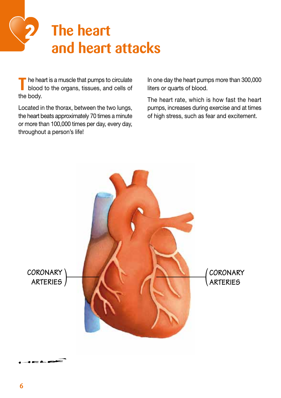

**T** he heart is a muscle that pumps to circulate blood to the organs, tissues, and cells of the body.

Located in the thorax, between the two lungs, the heart beats approximately 70 times a minute or more than 100,000 times per day, every day, throughout a person's life!

In one day the heart pumps more than 300,000 liters or quarts of blood.

The heart rate, which is how fast the heart pumps, increases during exercise and at times of high stress, such as fear and excitement.

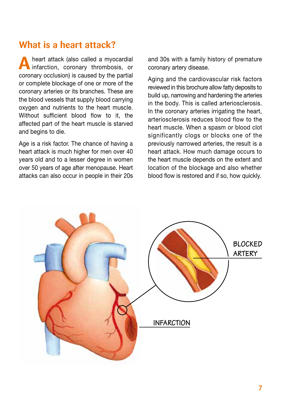## **What is a heart attack?**

**A** heart attack (also called a myocardial infarction, coronary thrombosis, or coronary occlusion) is caused by the partial or complete blockage of one or more of the coronary arteries or its branches. These are the blood vessels that supply blood carrying oxygen and nutrients to the heart muscle. Without sufficient blood flow to it, the affected part of the heart muscle is starved and begins to die.

Age is a risk factor. The chance of having a heart attack is much higher for men over 40 years old and to a lesser degree in women over 50 years of age after menopause. Heart attacks can also occur in people in their 20s and 30s with a family history of premature coronary artery disease.

Aging and the cardiovascular risk factors reviewed in this brochure allow fatty deposits to build up, narrowing and hardening the arteries in the body. This is called arteriosclerosis. In the coronary arteries irrigating the heart, arteriosclerosis reduces blood flow to the heart muscle. When a spasm or blood clot significantly clogs or blocks one of the previously narrowed arteries, the result is a heart attack. How much damage occurs to the heart muscle depends on the extent and location of the blockage and also whether blood flow is restored and if so, how quickly.

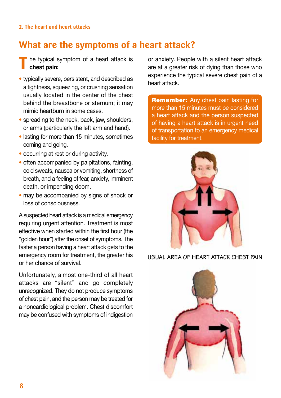## **What are the symptoms of a heart attack?**

**T** he typical symptom of a heart attack is **chest pain:**

- typically severe, persistent, and described as a tightness, squeezing, or crushing sensation usually located in the center of the chest behind the breastbone or sternum; it may mimic heartburn in some cases.
- spreading to the neck, back, jaw, shoulders, or arms (particularly the left arm and hand).
- lasting for more than 15 minutes, sometimes coming and going.
- occurring at rest or during activity.
- often accompanied by palpitations, fainting, cold sweats, nausea or vomiting, shortness of breath, and a feeling of fear, anxiety, imminent death, or impending doom.
- may be accompanied by signs of shock or loss of consciousness.

A suspected heart attack is a medical emergency requiring urgent attention. Treatment is most effective when started within the first hour (the "golden hour") after the onset of symptoms. The faster a person having a heart attack gets to the emergency room for treatment, the greater his or her chance of survival.

Unfortunately, almost one-third of all heart attacks are "silent" and go completely unrecognized. They do not produce symptoms of chest pain, and the person may be treated for a noncardiological problem. Chest discomfort may be confused with symptoms of indigestion or anxiety. People with a silent heart attack are at a greater risk of dying than those who experience the typical severe chest pain of a heart attack.

**Remember:** Any chest pain lasting for more than 15 minutes must be considered a heart attack and the person suspected of having a heart attack is in urgent need of transportation to an emergency medical facility for treatment.



#### **Usual area of heart attack chest pain**

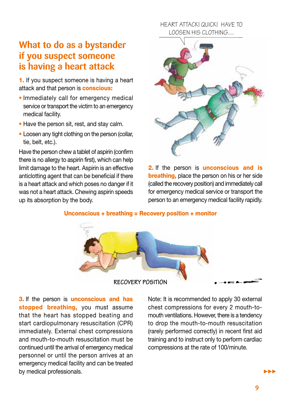#### Heart attack! Quick! Have to loosen his clothing…

## **What to do as a bystander if you suspect someone is having a heart attack**

1. If you suspect someone is having a heart attack and that person is **conscious:** 

- Immediately call for emergency medical service or transport the victim to an emergency medical facility.
- Have the person sit, rest, and stay calm.
- Loosen any tight clothing on the person (collar, tie, belt, etc.).

Have the person chew a tablet of aspirin (confirm there is no allergy to aspirin first), which can help limit damage to the heart. Aspirin is an effective anticlotting agent that can be beneficial if there is a heart attack and which poses no danger if it was not a heart attack. Chewing aspirin speeds up its absorption by the body.



2. If the person is **unconscious and is breathing, place the person on his or her side** (called the recovery position) and immediately call for emergency medical service or transport the person to an emergency medical facility rapidly.

#### Unconscious + breathing = Recovery position + monitor



**Recovery Position**

**3.** If the person is **unconscious and has** stopped breathing, you must assume that the heart has stopped beating and start cardiopulmonary resuscitation (CPR) immediately. External chest compressions and mouth-to-mouth resuscitation must be continued until the arrival of emergency medical personnel or until the person arrives at an emergency medical facility and can be treated by medical professionals.

Note: It is recommended to apply 30 external chest compressions for every 2 mouth-tomouth ventilations. However, there is a tendency to drop the mouth-to-mouth resuscitation (rarely performed correctly) in recent first aid training and to instruct only to perform cardiac compressions at the rate of 100/minute.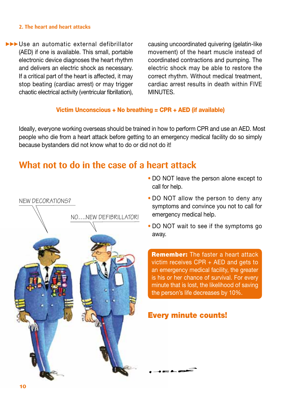#### **2. The heart and heart attacks**

Use an automatic external defibrillator (AED) if one is available. This small, portable electronic device diagnoses the heart rhythm and delivers an electric shock as necessary. If a critical part of the heart is affected, it may stop beating (cardiac arrest) or may trigger chaotic electrical activity (ventricular fibrillation), causing uncoordinated quivering (gelatin-like movement) of the heart muscle instead of coordinated contractions and pumping. The electric shock may be able to restore the correct rhythm. Without medical treatment, cardiac arrest results in death within FIVE MINUTES.

#### Victim Unconscious + No breathing = CPR + AED (if available)

Ideally, everyone working overseas should be trained in how to perform CPR and use an AED. Most people who die from a heart attack before getting to an emergency medical facility do so simply because bystanders did not know what to do or did not do it!

## **What not to do in the case of a heart attack**



- DO NOT leave the person alone except to call for help.
- DO NOT allow the person to deny any symptoms and convince you not to call for emergency medical help.
- DO NOT wait to see if the symptoms go away.

**Remember:** The faster a heart attack victim receives CPR + AED and gets to an emergency medical facility, the greater is his or her chance of survival. For every minute that is lost, the likelihood of saving the person's life decreases by 10%.

#### Every minute counts!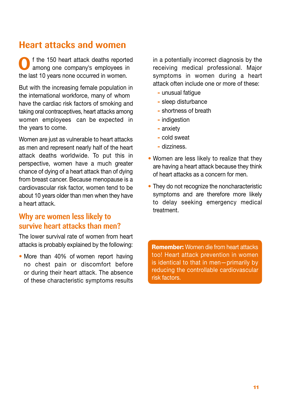## **Heart attacks and women**

**O**<sup>f</sup> the <sup>150</sup> heart attack deaths reported among one company's employees in the last 10 years none occurred in women.

But with the increasing female population in the international workforce, many of whom have the cardiac risk factors of smoking and taking oral contraceptives, heart attacks among women employees can be expected in the years to come.

Women are just as vulnerable to heart attacks as men and represent nearly half of the heart attack deaths worldwide. To put this in perspective, women have a much greater chance of dying of a heart attack than of dying from breast cancer. Because menopause is a cardiovascular risk factor, women tend to be about 10 years older than men when they have a heart attack.

## **Why are women less likely to survive heart attacks than men?**

The lower survival rate of women from heart attacks is probably explained by the following:

• More than 40% of women report having no chest pain or discomfort before or during their heart attack. The absence of these characteristic symptoms results

in a potentially incorrect diagnosis by the receiving medical professional. Major symptoms in women during a heart attack often include one or more of these:

- unusual fatigue
- sleep disturbance
- shortness of breath
- indigestion
- anxiety
- cold sweat
- dizziness.
- Women are less likely to realize that they are having a heart attack because they think of heart attacks as a concern for men.
- They do not recognize the noncharacteristic symptoms and are therefore more likely to delay seeking emergency medical treatment.

Remember: Women die from heart attacks too! Heart attack prevention in women is identical to that in men—primarily by reducing the controllable cardiovascular risk factors.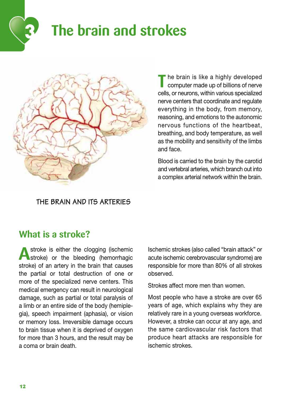

## k<sup>3</sup> **The brain and strokes**



**T** he brain is like a highly developed computer made up of billions of nerve cells, or neurons, within various specialized nerve centers that coordinate and regulate everything in the body, from memory, reasoning, and emotions to the autonomic nervous functions of the heartbeat, breathing, and body temperature, as well as the mobility and sensitivity of the limbs and face.

Blood is carried to the brain by the carotid and vertebral arteries, which branch out into a complex arterial network within the brain.

#### **the brain and its arteries**

## **What is a stroke?**

**A**stroke is either the clogging (ischemic stroke) or the bleeding (hemorrhagic stroke) of an artery in the brain that causes the partial or total destruction of one or more of the specialized nerve centers. This medical emergency can result in neurological damage, such as partial or total paralysis of a limb or an entire side of the body (hemiplegia), speech impairment (aphasia), or vision or memory loss. Irreversible damage occurs to brain tissue when it is deprived of oxygen for more than 3 hours, and the result may be a coma or brain death.

Ischemic strokes (also called "brain attack" or acute ischemic cerebrovascular syndrome) are responsible for more than 80% of all strokes observed.

Strokes affect more men than women.

Most people who have a stroke are over 65 years of age, which explains why they are relatively rare in a young overseas workforce. However, a stroke can occur at any age, and the same cardiovascular risk factors that produce heart attacks are responsible for ischemic strokes.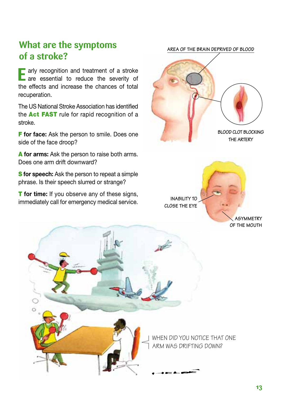## **What are the symptoms of a stroke?**

**E** arly recognition and treatment of a stroke are essential to reduce the severity of the effects and increase the chances of total recuperation.

The US National Stroke Association has identified the **Act FAST** rule for rapid recognition of a stroke.

F **for face:** Ask the person to smile. Does one side of the face droop?

A **for arms:** Ask the person to raise both arms. Does one arm drift downward?

**S for speech:** Ask the person to repeat a simple phrase. Is their speech slurred or strange?

**T** for time: If you observe any of these signs, immediately call for emergency medical service.

**Inability to close the eye**

> **Asymmetry of the mouth**

When did you notice that one arm was drifting down?



**Area of the brain deprived of blood**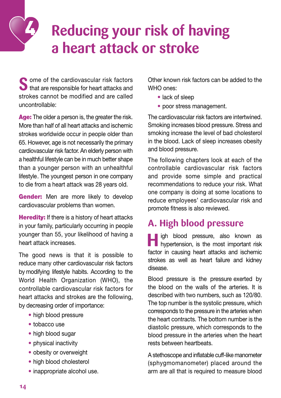Some of the cardiovascular risk factors<br>
that are responsible for heart attacks and strokes cannot be modified and are called uncontrollable:

4

Age: The older a person is, the greater the risk. More than half of all heart attacks and ischemic strokes worldwide occur in people older than 65. However, age is not necessarily the primary cardiovascular risk factor. An elderly person with a healthful lifestyle can be in much better shape than a younger person with an unhealthful lifestyle. The youngest person in one company to die from a heart attack was 28 years old.

Gender: Men are more likely to develop cardiovascular problems than women.

**Heredity:** If there is a history of heart attacks in your family, particularly occurring in people younger than 55, your likelihood of having a heart attack increases.

The good news is that it is possible to reduce many other cardiovascular risk factors by modifying lifestyle habits. According to the World Health Organization (WHO), the controllable cardiovascular risk factors for heart attacks and strokes are the following, by decreasing order of importance:

- high blood pressure
- tobacco use
- high blood sugar
- physical inactivity
- obesity or overweight
- high blood cholesterol
- inappropriate alcohol use.

Other known risk factors can be added to the WHO ones:

- lack of sleep
- poor stress management.

The cardiovascular risk factors are intertwined. Smoking increases blood pressure. Stress and smoking increase the level of bad cholesterol in the blood. Lack of sleep increases obesity and blood pressure.

The following chapters look at each of the controllable cardiovascular risk factors and provide some simple and practical recommendations to reduce your risk. What one company is doing at some locations to reduce employees' cardiovascular risk and promote fitness is also reviewed.

## **A. High blood pressure**

**H**igh blood pressure, also known as hypertension, is the most important risk factor in causing heart attacks and ischemic strokes as well as heart failure and kidney disease.

Blood pressure is the pressure exerted by the blood on the walls of the arteries. It is described with two numbers, such as 120/80. The top number is the systolic pressure, which corresponds to the pressure in the arteries when the heart contracts. The bottom number is the diastolic pressure, which corresponds to the blood pressure in the arteries when the heart rests between heartbeats.

A stethoscope and inflatable cuff-like manometer (sphygmomanometer) placed around the arm are all that is required to measure blood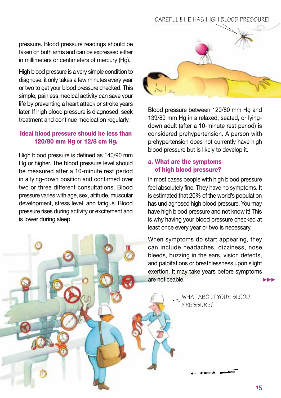#### Careful!!! He has high blood pressure!

pressure. Blood pressure readings should be taken on both arms and can be expressed either in millimeters or centimeters of mercury (Hg).

High blood pressure is a very simple condition to diagnose: it only takes a few minutes every year or two to get your blood pressure checked. This simple, painless medical activity can save your life by preventing a heart attack or stroke years later. If high blood pressure is diagnosed, seek treatment and continue medication regularly.

#### Ideal blood pressure should be less than 120/80 mm Hg or 12/8 cm Hg.

High blood pressure is defined as 140/90 mm Hg or higher. The blood pressure level should be measured after a 10-minute rest period in a lying-down position and confirmed over two or three different consultations. Blood pressure varies with age, sex, altitude, muscular development, stress level, and fatigue. Blood pressure rises during activity or excitement and is lower during sleep.



Blood pressure between 120/80 mm Hg and 139/89 mm Hg in a relaxed, seated, or lyingdown adult (after a 10-minute rest period) is considered prehypertension. A person with prehypertension does not currently have high blood pressure but is likely to develop it.

#### a. What are the symptoms of high blood pressure?

In most cases people with high blood pressure feel absolutely fine. They have no symptoms. It is estimated that 20% of the world's population has undiagnosed high blood pressure. You may have high blood pressure and not know it! This is why having your blood pressure checked at least once every year or two is necessary.

When symptoms do start appearing, they can include headaches, dizziness, nose bleeds, buzzing in the ears, vision defects, and palpitations or breathlessness upon slight exertion. It may take years before symptoms are noticeable.

> What about your blood pressure?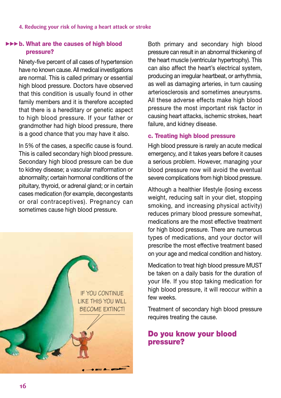#### **b. What are the causes of high blood** pressure?

Ninety-five percent of all cases of hypertension have no known cause. All medical investigations are normal. This is called primary or essential high blood pressure. Doctors have observed that this condition is usually found in other family members and it is therefore accepted that there is a hereditary or genetic aspect to high blood pressure. If your father or grandmother had high blood pressure, there is a good chance that you may have it also.

In 5% of the cases, a specific cause is found. This is called secondary high blood pressure. Secondary high blood pressure can be due to kidney disease; a vascular malformation or abnormality; certain hormonal conditions of the pituitary, thyroid, or adrenal gland; or in certain cases medication (for example, decongestants or oral contraceptives). Pregnancy can sometimes cause high blood pressure.



Both primary and secondary high blood pressure can result in an abnormal thickening of the heart muscle (ventricular hypertrophy). This can also affect the heart's electrical system, producing an irregular heartbeat, or arrhythmia, as well as damaging arteries, in turn causing arteriosclerosis and sometimes aneurysms. All these adverse effects make high blood pressure the most important risk factor in causing heart attacks, ischemic strokes, heart failure, and kidney disease.

#### c. Treating high blood pressure

High blood pressure is rarely an acute medical emergency, and it takes years before it causes a serious problem. However, managing your blood pressure now will avoid the eventual severe complications from high blood pressure.

Although a healthier lifestyle (losing excess weight, reducing salt in your diet, stopping smoking, and increasing physical activity) reduces primary blood pressure somewhat, medications are the most effective treatment for high blood pressure. There are numerous types of medications, and your doctor will prescribe the most effective treatment based on your age and medical condition and history.

Medication to treat high blood pressure MUST be taken on a daily basis for the duration of your life. If you stop taking medication for high blood pressure, it will reoccur within a few weeks.

Treatment of secondary high blood pressure requires treating the cause.

#### Do you know your blood pressure?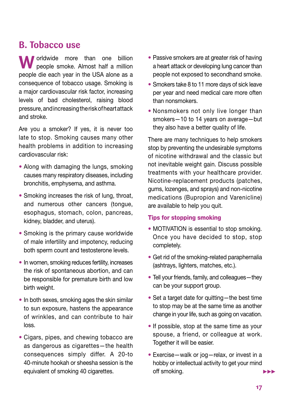## **B. Tobacco use**

**M** orldwide more than one billion people smoke. Almost half a million people die each year in the USA alone as a consequence of tobacco usage. Smoking is a major cardiovascular risk factor, increasing levels of bad cholesterol, raising blood pressure, and increasing the risk of heart attack and stroke.

Are you a smoker? If yes, it is never too late to stop. Smoking causes many other health problems in addition to increasing cardiovascular risk:

- Along with damaging the lungs, smoking causes many respiratory diseases, including bronchitis, emphysema, and asthma.
- Smoking increases the risk of lung, throat, and numerous other cancers (tongue, esophagus, stomach, colon, pancreas, kidney, bladder, and uterus).
- Smoking is the primary cause worldwide of male infertility and impotency, reducing both sperm count and testosterone levels.
- In women, smoking reduces fertility, increases the risk of spontaneous abortion, and can be responsible for premature birth and low birth weight.
- In both sexes, smoking ages the skin similar to sun exposure, hastens the appearance of wrinkles, and can contribute to hair loss.
- Cigars, pipes, and chewing tobacco are as dangerous as cigarettes—the health consequences simply differ. A 20-to 40-minute hookah or sheesha session is the equivalent of smoking 40 cigarettes.
- Passive smokers are at greater risk of having a heart attack or developing lung cancer than people not exposed to secondhand smoke.
- Smokers take 8 to 11 more days of sick leave per year and need medical care more often than nonsmokers.
- Nonsmokers not only live longer than smokers—10 to 14 years on average—but they also have a better quality of life.

There are many techniques to help smokers stop by preventing the undesirable symptoms of nicotine withdrawal and the classic but not inevitable weight gain. Discuss possible treatments with your healthcare provider. Nicotine-replacement products (patches, gums, lozenges, and sprays) and non-nicotine medications (Bupropion and Varenicline) are available to help you quit.

#### Tips for stopping smoking

- MOTIVATION is essential to stop smoking. Once you have decided to stop, stop completely.
- Get rid of the smoking-related paraphernalia (ashtrays, lighters, matches, etc.).
- Tell your friends, family, and colleagues—they can be your support group.
- Set a target date for quitting—the best time to stop may be at the same time as another change in your life, such as going on vacation.
- If possible, stop at the same time as your spouse, a friend, or colleague at work. Together it will be easier.
- Exercise—walk or jog—relax, or invest in a hobby or intellectual activity to get your mind off smoking. **SEE**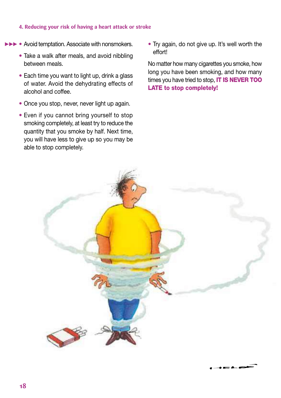- **4. Reducing your risk of having a heart attack or stroke**
- Avoid temptation. Associate with nonsmokers.
	- Take a walk after meals, and avoid nibbling between meals.
	- Each time you want to light up, drink a glass of water. Avoid the dehydrating effects of alcohol and coffee.
	- Once you stop, never, never light up again.
	- Even if you cannot bring yourself to stop smoking completely, at least try to reduce the quantity that you smoke by half. Next time, you will have less to give up so you may be able to stop completely.

• Try again, do not give up. It's well worth the effort!

No matter how many cigarettes you smoke, how long you have been smoking, and how many times you have tried to stop, **IT IS NEVER TOO** LATE to stop completely!

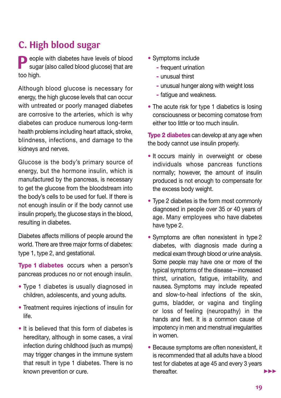## **C. High blood sugar**

**P**eople with diabetes have levels of blood sugar (also called blood glucose) that are too high.

Although blood glucose is necessary for energy, the high glucose levels that can occur with untreated or poorly managed diabetes are corrosive to the arteries, which is why diabetes can produce numerous long-term health problems including heart attack, stroke, blindness, infections, and damage to the kidneys and nerves.

Glucose is the body's primary source of energy, but the hormone insulin, which is manufactured by the pancreas, is necessary to get the glucose from the bloodstream into the body's cells to be used for fuel. If there is not enough insulin or if the body cannot use insulin properly, the glucose stays in the blood, resulting in diabetes.

Diabetes affects millions of people around the world. There are three major forms of diabetes: type 1, type 2, and gestational.

Type 1 diabetes occurs when a person's pancreas produces no or not enough insulin.

- Type 1 diabetes is usually diagnosed in children, adolescents, and young adults.
- Treatment requires injections of insulin for life.
- It is believed that this form of diabetes is hereditary, although in some cases, a viral infection during childhood (such as mumps) may trigger changes in the immune system that result in type 1 diabetes. There is no known prevention or cure.
- Symptoms include
	- frequent urination
	- unusual thirst
	- unusual hunger along with weight loss
	- fatigue and weakness.
- The acute risk for type 1 diabetics is losing consciousness or becoming comatose from either too little or too much insulin.

**Type 2 diabetes** can develop at any age when the body cannot use insulin properly.

- It occurs mainly in overweight or obese individuals whose pancreas functions normally; however, the amount of insulin produced is not enough to compensate for the excess body weight.
- Type 2 diabetes is the form most commonly diagnosed in people over 35 or 40 years of age. Many employees who have diabetes have type 2.
- Symptoms are often nonexistent in type 2 diabetes, with diagnosis made during a medical exam through blood or urine analysis. Some people may have one or more of the typical symptoms of the disease—increased thirst, urination, fatigue, irritability, and nausea. Symptoms may include repeated and slow-to-heal infections of the skin, gums, bladder, or vagina and tingling or loss of feeling (neuropathy) in the hands and feet. It is a common cause of impotency in men and menstrual irregularities in women.
- Because symptoms are often nonexistent, it is recommended that all adults have a blood test for diabetes at age 45 and every 3 years **thereafter**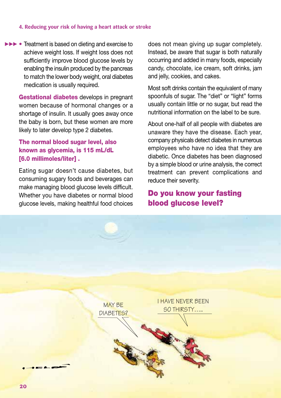**• •** Treatment is based on dieting and exercise to achieve weight loss. If weight loss does not sufficiently improve blood glucose levels by enabling the insulin produced by the pancreas to match the lower body weight, oral diabetes medication is usually required.

> Gestational diabetes develops in pregnant women because of hormonal changes or a shortage of insulin. It usually goes away once the baby is born, but these women are more likely to later develop type 2 diabetes.

#### The normal blood sugar level, also known as glycemia, is 115 mL/dL [6.0 millimoles/liter] .

Eating sugar doesn't cause diabetes, but consuming sugary foods and beverages can make managing blood glucose levels difficult. Whether you have diabetes or normal blood glucose levels, making healthful food choices does not mean giving up sugar completely. Instead, be aware that sugar is both naturally occurring and added in many foods, especially candy, chocolate, ice cream, soft drinks, jam and jelly, cookies, and cakes.

Most soft drinks contain the equivalent of many spoonfuls of sugar. The "diet" or "light" forms usually contain little or no sugar, but read the nutritional information on the label to be sure.

About one-half of all people with diabetes are unaware they have the disease. Each year, company physicals detect diabetes in numerous employees who have no idea that they are diabetic. Once diabetes has been diagnosed by a simple blood or urine analysis, the correct treatment can prevent complications and reduce their severity.

#### Do you know your fasting blood glucose level?

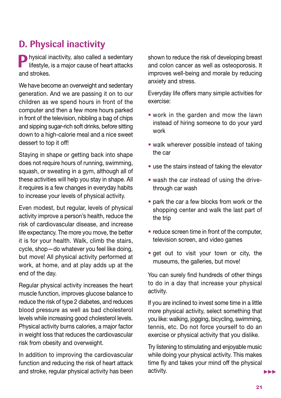## **D. Physical inactivity**

**P**hysical inactivity, also called a sedentary lifestyle, is a major cause of heart attacks and strokes.

We have become an overweight and sedentary generation. And we are passing it on to our children as we spend hours in front of the computer and then a few more hours parked in front of the television, nibbling a bag of chips and sipping sugar-rich soft drinks, before sitting down to a high-calorie meal and a nice sweet dessert to top it off!

Staving in shape or getting back into shape does not require hours of running, swimming, squash, or sweating in a gym, although all of these activities will help you stay in shape. All it requires is a few changes in everyday habits to increase your levels of physical activity.

Even modest, but regular, levels of physical activity improve a person's health, reduce the risk of cardiovascular disease, and increase life expectancy. The more you move, the better it is for your health. Walk, climb the stairs, cycle, shop—do whatever you feel like doing, but move! All physical activity performed at work, at home, and at play adds up at the end of the day.

Regular physical activity increases the heart muscle function, improves glucose balance to reduce the risk of type 2 diabetes, and reduces blood pressure as well as bad cholesterol levels while increasing good cholesterol levels. Physical activity burns calories, a major factor in weight loss that reduces the cardiovascular risk from obesity and overweight.

In addition to improving the cardiovascular function and reducing the risk of heart attack and stroke, regular physical activity has been shown to reduce the risk of developing breast and colon cancer as well as osteoporosis. It improves well-being and morale by reducing anxiety and stress.

Everyday life offers many simple activities for exercise:

- work in the garden and mow the lawn instead of hiring someone to do your yard work
- walk wherever possible instead of taking the car
- use the stairs instead of taking the elevator
- wash the car instead of using the drivethrough car wash
- park the car a few blocks from work or the shopping center and walk the last part of the trip
- reduce screen time in front of the computer. television screen, and video games
- get out to visit your town or city, the museums, the galleries, but move!

You can surely find hundreds of other things to do in a day that increase your physical activity.

If you are inclined to invest some time in a little more physical activity, select something that you like: walking, jogging, bicycling, swimming, tennis, etc. Do not force yourself to do an exercise or physical activity that you dislike.

Try listening to stimulating and enjoyable music while doing your physical activity. This makes time fly and takes your mind off the physical activity.  $\blacktriangleright$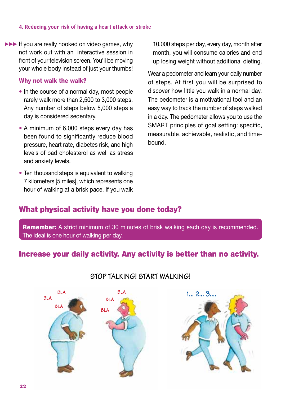If you are really hooked on video games, why not work out with an interactive session in front of your television screen. You'll be moving your whole body instead of just your thumbs!

#### Why not walk the walk?

- In the course of a normal day, most people rarely walk more than 2,500 to 3,000 steps. Any number of steps below 5,000 steps a day is considered sedentary.
- A minimum of 6,000 steps every day has been found to significantly reduce blood pressure, heart rate, diabetes risk, and high levels of bad cholesterol as well as stress and anxiety levels.
- Ten thousand steps is equivalent to walking 7 kilometers [5 miles], which represents one hour of walking at a brisk pace. If you walk

10,000 steps per day, every day, month after month, you will consume calories and end up losing weight without additional dieting.

Wear a pedometer and learn your daily number of steps. At first you will be surprised to discover how little you walk in a normal day. The pedometer is a motivational tool and an easy way to track the number of steps walked in a day. The pedometer allows you to use the SMART principles of goal setting: specific, measurable, achievable, realistic, and timebound.

## What physical activity have you done today?

**Remember:** A strict minimum of 30 minutes of brisk walking each day is recommended. The ideal is one hour of walking per day.

## Increase your daily activity. Any activity is better than no activity.



#### **Stop talking! Start walking!**

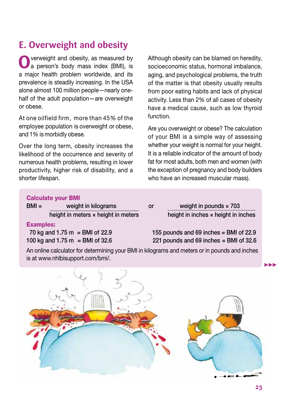## **E. Overweight and obesity**

**O**verweight and obesity, as measured by a person's body mass index (BMI), is a major health problem worldwide, and its prevalence is steadily increasing. In the USA alone almost 100 million people—nearly onehalf of the adult population—are overweight or obese.

At one oilfield firm, more than 45% of the employee population is overweight or obese, and 1% is morbidly obese.

Over the long term, obesity increases the likelihood of the occurrence and severity of numerous health problems, resulting in lower productivity, higher risk of disability, and a shorter lifespan.

Although obesity can be blamed on heredity, socioeconomic status, hormonal imbalance, aging, and psychological problems, the truth of the matter is that obesity usually results from poor eating habits and lack of physical activity. Less than 2% of all cases of obesity have a medical cause, such as low thyroid function.

Are you overweight or obese? The calculation of your BMI is a simple way of assessing whether your weight is normal for your height. It is a reliable indicator of the amount of body fat for most adults, both men and women (with the exception of pregnancy and body builders who have an increased muscular mass).

## Calculate your BMI BMI = weight in kilograms or weight in pounds x 703  $h$ eight in meters  $\times$  height in meters height in inches  $\times$  height in inches

#### Examples:

 70 kg and 1.75 m = BMI of 22.9 155 pounds and 69 inches = BMI of 22.9 100 kg and 1.75 m = BMI of 32.6 221 pounds and 69 inches = BMI of 32.6

An online calculator for determining your BMI in kilograms and meters or in pounds and inches is at www.nhlbisupport.com/bmi/.

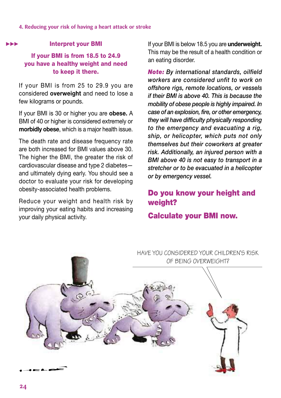#### Interpret your BMI

#### If your BMI is from 18.5 to 24.9 you have a healthy weight and need to keep it there.

If your BMI is from 25 to 29.9 you are considered **overweight** and need to lose a few kilograms or pounds.

If your BMI is 30 or higher you are **obese.** A BMI of 40 or higher is considered extremely or **morbidly obese**, which is a major health issue.

The death rate and disease frequency rate are both increased for BMI values above 30. The higher the BMI, the greater the risk of cardiovascular disease and type 2 diabetes and ultimately dying early. You should see a doctor to evaluate your risk for developing obesity-associated health problems.

Reduce your weight and health risk by improving your eating habits and increasing your daily physical activity.

If your BMI is below 18.5 you are **underweight.** This may be the result of a health condition or an eating disorder.

*Note: By international standards, oilfield workers are considered unfit to work on offshore rigs, remote locations, or vessels if their BMI is above 40. This is because the mobility of obese people is highly impaired. In case of an explosion, fire, or other emergency, they will have difficulty physically responding to the emergency and evacuating a rig, ship, or helicopter, which puts not only themselves but their coworkers at greater risk. Additionally, an injured person with a BMI above 40 is not easy to transport in a stretcher or to be evacuated in a helicopter or by emergency vessel.* 

#### Do you know your height and weight?

#### Calculate your BMI now.

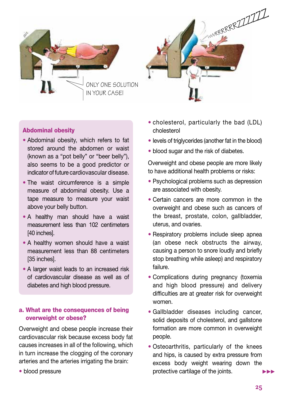

#### Abdominal obesity

- Abdominal obesity, which refers to fat stored around the abdomen or waist (known as a "pot belly" or "beer belly"), also seems to be a good predictor or indicator of future cardiovascular disease.
- The waist circumference is a simple measure of abdominal obesity. Use a tape measure to measure your waist above your belly button.
- A healthy man should have a waist measurement less than 102 centimeters [40 inches].
- A healthy women should have a waist measurement less than 88 centimeters [35 inches].
- A larger waist leads to an increased risk of cardiovascular disease as well as of diabetes and high blood pressure.

#### a. What are the consequences of being overweight or obese?

Overweight and obese people increase their cardiovascular risk because excess body fat causes increases in all of the following, which in turn increase the clogging of the coronary arteries and the arteries irrigating the brain:

• blood pressure

- cholesterol, particularly the bad (LDL) cholesterol
- levels of triglycerides (another fat in the blood)
- blood sugar and the risk of diabetes.

Overweight and obese people are more likely to have additional health problems or risks:

- Psychological problems such as depression are associated with obesity.
- Certain cancers are more common in the overweight and obese such as cancers of the breast, prostate, colon, gallbladder, uterus, and ovaries.
- Respiratory problems include sleep apnea (an obese neck obstructs the airway, causing a person to snore loudly and briefly stop breathing while asleep) and respiratory failure.
- Complications during pregnancy (toxemia and high blood pressure) and delivery difficulties are at greater risk for overweight women.
- Gallbladder diseases including cancer, solid deposits of cholesterol, and gallstone formation are more common in overweight people.
- Osteoarthritis, particularly of the knees and hips, is caused by extra pressure from excess body weight wearing down the protective cartilage of the joints.

**25**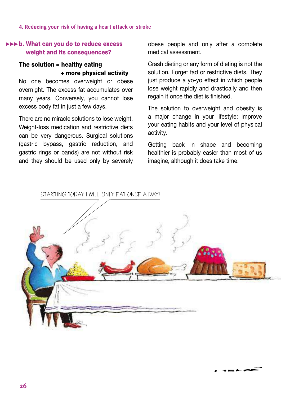#### **b. What can you do to reduce excess** weight and its consequences?

#### The solution  $=$  healthy eating + more physical activity

No one becomes overweight or obese overnight. The excess fat accumulates over many years. Conversely, you cannot lose excess body fat in just a few days.

There are no miracle solutions to lose weight. Weight-loss medication and restrictive diets can be very dangerous. Surgical solutions (gastric bypass, gastric reduction, and gastric rings or bands) are not without risk and they should be used only by severely obese people and only after a complete medical assessment.

Crash dieting or any form of dieting is not the solution. Forget fad or restrictive diets. They just produce a vo-vo effect in which people lose weight rapidly and drastically and then regain it once the diet is finished.

The solution to overweight and obesity is a major change in your lifestyle: improve your eating habits and your level of physical activity.

Getting back in shape and becoming healthier is probably easier than most of us imagine, although it does take time.

#### Starting today I will only eat once a day!

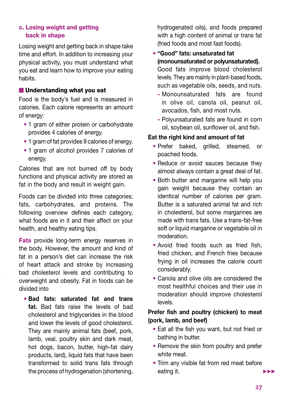#### c. Losing weight and getting back in shape

Losing weight and getting back in shape take time and effort. In addition to increasing your physical activity, you must understand what you eat and learn how to improve your eating habits.

#### $\blacksquare$  Understanding what you eat

Food is the body's fuel and is measured in calories. Each calorie represents an amount of energy:

- 1 gram of either protein or carbohydrate provides 4 calories of energy.
- 1 gram of fat provides 9 calories of energy.
- 1 gram of alcohol provides 7 calories of energy.

Calories that are not burned off by body functions and physical activity are stored as fat in the body and result in weight gain.

Foods can be divided into three categories: fats, carbohydrates, and proteins. The following overview defines each category, what foods are in it and their affect on your health, and healthy eating tips.

**Fats** provide long-term energy reserves in the body. However, the amount and kind of fat in a person's diet can increase the risk of heart attack and stroke by increasing bad cholesterol levels and contributing to overweight and obesity. Fat in foods can be divided into

• **Bad fats: saturated fat and trans fat.** Bad fats raise the levels of bad cholesterol and triglycerides in the blood and lower the levels of good cholesterol. They are mainly animal fats (beef, pork, lamb, veal, poultry skin and dark meat, hot dogs, bacon, butter, high-fat dairy products, lard), liquid fats that have been transformed to solid trans fats through the process of hydrogenation (shortening, hydrogenated oils), and foods prepared with a high content of animal or trans fat (fried foods and most fast foods).

#### • **"Good" fats: unsaturated fat (monounsaturated or polyunsaturated).**

Good fats improve blood cholesterol levels. They are mainly in plant-based foods, such as vegetable oils, seeds, and nuts.

- Monounsaturated fats are found in olive oil, canola oil, peanut oil, avocados, fish, and most nuts.
- Polyunsaturated fats are found in corn oil, soybean oil, sunflower oil, and fish.

#### **Eat the right kind and amount of fat**

- Prefer baked, grilled, steamed, or poached foods.
- Reduce or avoid sauces because they almost always contain a great deal of fat.
- Both butter and margarine will help you gain weight because they contain an identical number of calories per gram. Butter is a saturated animal fat and rich in cholesterol, but some margarines are made with trans fats. Use a trans-fat-free soft or liquid margarine or vegetable oil in moderation.
- Avoid fried foods such as fried fish. fried chicken, and French fries because frying in oil increases the calorie count considerably.
- Canola and olive oils are considered the most healthful choices and their use in moderation should improve cholesterol levels.

#### **Prefer fish and poultry (chicken) to meat (pork, lamb, and beef)**

- Eat all the fish you want, but not fried or bathing in butter.
- Remove the skin from poultry and prefer white meat.
- Trim any visible fat from red meat before eating it.  $\blacktriangleright\blacktriangleright\blacktriangleright$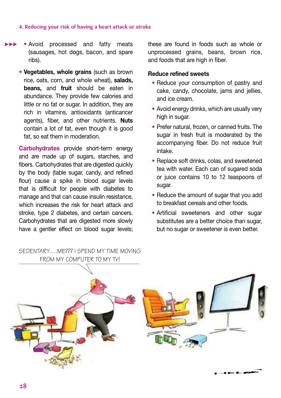- Avoid processed and fatty meats (sausages, hot dogs, bacon, and spare ribs).
	- **Vegetables, whole grains** (such as brown rice, oats, corn, and whole wheat), **salads, beans,** and **fruit** should be eaten in abundance. They provide few calories and little or no fat or sugar. In addition, they are rich in vitamins, antioxidants (anticancer agents), fiber, and other nutrients. **Nuts**  contain a lot of fat, even though it is good fat, so eat them in moderation.

Carbohydrates provide short-term energy and are made up of sugars, starches, and fibers. Carbohydrates that are digested quickly by the body (table sugar, candy, and refined flour) cause a spike in blood sugar levels that is difficult for people with diabetes to manage and that can cause insulin resistance, which increases the risk for heart attack and stroke, type 2 diabetes, and certain cancers. Carbohydrates that are digested more slowly have a gentler effect on blood sugar levels;

these are found in foods such as whole or unprocessed grains, beans, brown rice, and foods that are high in fiber.

#### **Reduce refined sweets**

- Reduce your consumption of pastry and cake, candy, chocolate, jams and jellies, and ice cream.
- Avoid energy drinks, which are usually very high in sugar.
- Prefer natural, frozen, or canned fruits. The sugar in fresh fruit is moderated by the accompanying fiber. Do not reduce fruit intake.
- Replace soft drinks, colas, and sweetened tea with water. Each can of sugared soda or juice contains 10 to 12 teaspoons of sugar.
- Reduce the amount of sugar that you add to breakfast cereals and other foods.
- Artificial sweeteners and other sugar substitutes are a better choice than sugar. but no sugar or sweetener is even better.

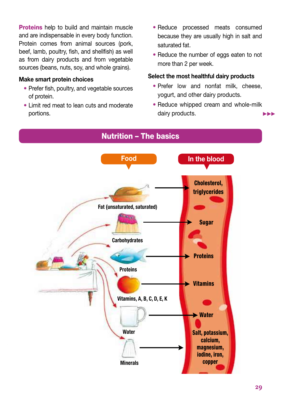**Proteins** help to build and maintain muscle and are indispensable in every body function. Protein comes from animal sources (pork, beef, lamb, poultry, fish, and shellfish) as well as from dairy products and from vegetable sources (beans, nuts, soy, and whole grains).

#### **Make smart protein choices**

- Prefer fish, poultry, and vegetable sources of protein.
- Limit red meat to lean cuts and moderate portions.
- Reduce processed meats consumed because they are usually high in salt and saturated fat.
- Reduce the number of eggs eaten to not more than 2 per week.

#### **Select the most healthful dairy products**

- Prefer low and nonfat milk, cheese, yogurt, and other dairy products.
- Reduce whipped cream and whole-milk dairy products.

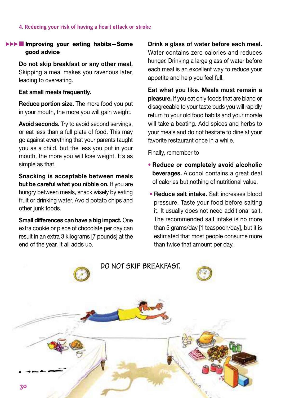#### **NET Improving your eating habits—Some** good advice

**Do not skip breakfast or any other meal.** Skipping a meal makes you ravenous later, leading to overeating.

#### **Eat small meals frequently.**

**Reduce portion size.** The more food you put in your mouth, the more you will gain weight.

**Avoid seconds.** Try to avoid second servings, or eat less than a full plate of food. This may go against everything that your parents taught you as a child, but the less you put in your mouth, the more you will lose weight. It's as simple as that.

**Snacking is acceptable between meals but be careful what you nibble on.** If you are hungry between meals, snack wisely by eating fruit or drinking water. Avoid potato chips and other junk foods.

**Small differences can have a big impact.** One extra cookie or piece of chocolate per day can result in an extra 3 kilograms [7 pounds] at the end of the year. It all adds up.

**Drink a glass of water before each meal.** Water contains zero calories and reduces hunger. Drinking a large glass of water before each meal is an excellent way to reduce your appetite and help you feel full.

**Eat what you like. Meals must remain a pleasure.** If you eat only foods that are bland or disagreeable to your taste buds you will rapidly return to your old food habits and your morale will take a beating. Add spices and herbs to your meals and do not hesitate to dine at your favorite restaurant once in a while.

Finally, remember to

- **Reduce or completely avoid alcoholic beverages.** Alcohol contains a great deal of calories but nothing of nutritional value.
- **Reduce salt intake.** Salt increases blood pressure. Taste your food before salting it. It usually does not need additional salt. The recommended salt intake is no more than 5 grams/day [1 teaspoon/day], but it is estimated that most people consume more than twice that amount per day.

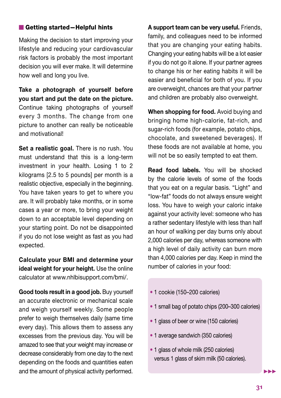#### $\blacksquare$  Getting started—Helpful hints

Making the decision to start improving your lifestyle and reducing your cardiovascular risk factors is probably the most important decision you will ever make. It will determine how well and long you live.

**Take a photograph of yourself before you start and put the date on the picture.** Continue taking photographs of yourself every 3 months. The change from one picture to another can really be noticeable and motivational!

**Set a realistic goal.** There is no rush. You must understand that this is a long-term investment in your health. Losing 1 to 2 kilograms [2.5 to 5 pounds] per month is a realistic objective, especially in the beginning. You have taken years to get to where you are. It will probably take months, or in some cases a year or more, to bring your weight down to an acceptable level depending on your starting point. Do not be disappointed if you do not lose weight as fast as you had expected.

**Calculate your BMI and determine your ideal weight for your height.** Use the online calculator at www.nhlbisupport.com/bmi/.

**Good tools result in a good job.** Buy yourself an accurate electronic or mechanical scale and weigh yourself weekly. Some people prefer to weigh themselves daily (same time every day). This allows them to assess any excesses from the previous day. You will be amazed to see that your weight may increase or decrease considerably from one day to the next depending on the foods and quantities eaten and the amount of physical activity performed.

**A support team can be very useful.** Friends, family, and colleagues need to be informed that you are changing your eating habits. Changing your eating habits will be a lot easier if you do not go it alone. If your partner agrees to change his or her eating habits it will be easier and beneficial for both of you. If you are overweight, chances are that your partner and children are probably also overweight.

**When shopping for food.** Avoid buying and bringing home high-calorie, fat-rich, and sugar-rich foods (for example, potato chips, chocolate, and sweetened beverages). If these foods are not available at home, you will not be so easily tempted to eat them.

**Read food labels.** You will be shocked by the calorie levels of some of the foods that you eat on a regular basis. "Light" and "low-fat" foods do not always ensure weight loss. You have to weigh your caloric intake against your activity level: someone who has a rather sedentary lifestyle with less than half an hour of walking per day burns only about 2,000 calories per day, whereas someone with a high level of daily activity can burn more than 4,000 calories per day. Keep in mind the number of calories in your food:

- 1 cookie (150–200 calories)
- 1 small bag of potato chips (200–300 calories)
- 1 glass of beer or wine (150 calories)
- 1 average sandwich (350 calories)
- 1 glass of whole milk (250 calories) versus 1 glass of skim milk (50 calories).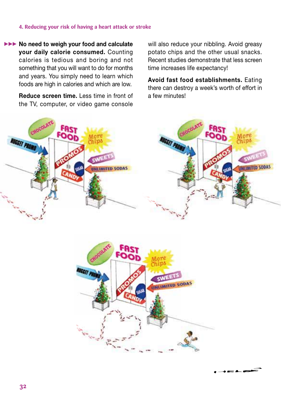**No need to weigh your food and calculate your daily calorie consumed.** Counting calories is tedious and boring and not something that you will want to do for months and years. You simply need to learn which foods are high in calories and which are low.

> **Reduce screen time.** Less time in front of the TV, computer, or video game console

will also reduce your nibbling. Avoid greasy potato chips and the other usual snacks. Recent studies demonstrate that less screen time increases life expectancy!

**Avoid fast food establishments.** Eating there can destroy a week's worth of effort in a few minutes!

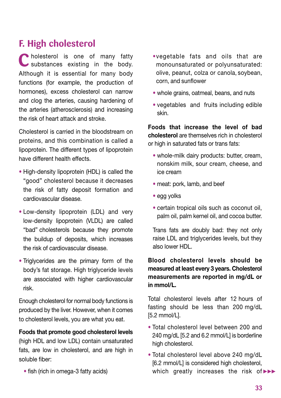## **F. High cholesterol**

**C**holesterol is one of many fatty substances existing in the body. Although it is essential for many body functions (for example, the production of hormones), excess cholesterol can narrow and clog the arteries, causing hardening of the arteries (atherosclerosis) and increasing the risk of heart attack and stroke.

Cholesterol is carried in the bloodstream on proteins, and this combination is called a lipoprotein. The different types of lipoprotein have different health effects.

- High-density lipoprotein (HDL) is called the "good" cholesterol because it decreases the risk of fatty deposit formation and cardiovascular disease.
- Low-density lipoprotein (LDL) and very low-density lipoprotein (VLDL) are called "bad" cholesterols because they promote the buildup of deposits, which increases the risk of cardiovascular disease.
- Triglycerides are the primary form of the body's fat storage. High triglyceride levels are associated with higher cardiovascular risk.

Enough cholesterol for normal body functions is produced by the liver. However, when it comes to cholesterol levels, you are what you eat.

#### **Foods that promote good cholesterol levels**

(high HDL and low LDL) contain unsaturated fats, are low in cholesterol, and are high in soluble fiber:

• fish (rich in omega-3 fatty acids)

- vegetable fats and oils that are monounsaturated or polyunsaturated: olive, peanut, colza or canola, soybean, corn, and sunflower
- whole grains, oatmeal, beans, and nuts
- vegetables and fruits including edible skin.

**Foods that increase the level of bad cholesterol** are themselves rich in cholesterol or high in saturated fats or trans fats:

- whole-milk dairy products: butter, cream, nonskim milk, sour cream, cheese, and ice cream
- meat: pork, lamb, and beef
- egg yolks
- certain tropical oils such as coconut oil, palm oil, palm kernel oil, and cocoa butter.

Trans fats are doubly bad: they not only raise LDL and triglycerides levels, but they also lower HDL.

#### **Blood cholesterol levels should be measured at least every 3 years. Cholesterol measurements are reported in mg/dL or in mmol/L.**

Total cholesterol levels after 12 hours of fasting should be less than 200 mg/dL [5.2 mmol/L].

- Total cholesterol level between 200 and 240 mg/dL [5.2 and 6.2 mmol/L] is borderline high cholesterol.
- Total cholesterol level above 240 mg/dL [6.2 mmol/L] is considered high cholesterol, which greatly increases the risk of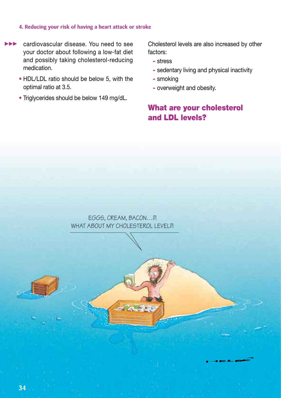- cardiovascular disease. You need to see your doctor about following a low-fat diet and possibly taking cholesterol-reducing medication.
	- HDL/LDL ratio should be below 5, with the optimal ratio at 3.5.
	- Triglycerides should be below 149 mg/dL.

Cholesterol levels are also increased by other factors:

- stress
- sedentary living and physical inactivity
- smoking
- overweight and obesity.

#### What are your cholesterol and LDL levels?

eggs, cream, bacon…?! WHAT ABOUT MY CHOLESTEROL LEVEL?!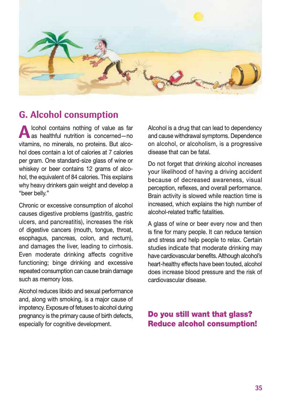

## **G. Alcohol consumption**

**A**lcohol contains nothing of value as far as healthful nutrition is concerned—no vitamins, no minerals, no proteins. But alcohol does contain a lot of calories at 7 calories per gram. One standard-size glass of wine or whiskey or beer contains 12 grams of alcohol, the equivalent of 84 calories. This explains why heavy drinkers gain weight and develop a "beer belly."

Chronic or excessive consumption of alcohol causes digestive problems (gastritis, gastric ulcers, and pancreatitis), increases the risk of digestive cancers (mouth, tongue, throat, esophagus, pancreas, colon, and rectum), and damages the liver, leading to cirrhosis. Even moderate drinking affects cognitive functioning; binge drinking and excessive repeated consumption can cause brain damage such as memory loss.

Alcohol reduces libido and sexual performance and, along with smoking, is a major cause of impotency. Exposure of fetuses to alcohol during pregnancy is the primary cause of birth defects, especially for cognitive development.

Alcohol is a drug that can lead to dependency and cause withdrawal symptoms. Dependence on alcohol, or alcoholism, is a progressive disease that can be fatal.

Do not forget that drinking alcohol increases your likelihood of having a driving accident because of decreased awareness, visual perception, reflexes, and overall performance. Brain activity is slowed while reaction time is increased, which explains the high number of alcohol-related traffic fatalities.

A glass of wine or beer every now and then is fine for many people. It can reduce tension and stress and help people to relax. Certain studies indicate that moderate drinking may have cardiovascular benefits. Although alcohol's heart-healthy effects have been touted, alcohol does increase blood pressure and the risk of cardiovascular disease.

#### Do you still want that glass? Reduce alcohol consumption!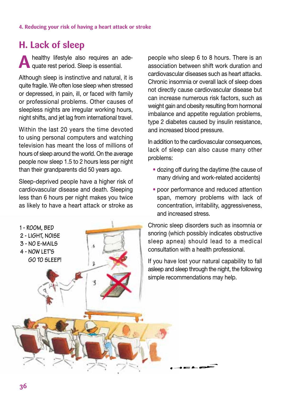## **H. Lack of sleep**

**A** healthy lifestyle also requires an ade-<br>quate rest period. Sleep is essential.

Although sleep is instinctive and natural, it is quite fragile. We often lose sleep when stressed or depressed, in pain, ill, or faced with family or professional problems. Other causes of sleepless nights are irregular working hours, night shifts, and jet lag from international travel.

Within the last 20 years the time devoted to using personal computers and watching television has meant the loss of millions of hours of sleep around the world. On the average people now sleep 1.5 to 2 hours less per night than their grandparents did 50 years ago.

Sleep-deprived people have a higher risk of cardiovascular disease and death. Sleeping less than 6 hours per night makes you twice as likely to have a heart attack or stroke as people who sleep 6 to 8 hours. There is an association between shift work duration and cardiovascular diseases such as heart attacks. Chronic insomnia or overall lack of sleep does not directly cause cardiovascular disease but can increase numerous risk factors, such as weight gain and obesity resulting from hormonal imbalance and appetite regulation problems, type 2 diabetes caused by insulin resistance, and increased blood pressure.

In addition to the cardiovascular consequences, lack of sleep can also cause many other problems:

- dozing off during the daytime (the cause of many driving and work-related accidents)
- poor performance and reduced attention span, memory problems with lack of concentration, irritability, aggressiveness, and increased stress.

Chronic sleep disorders such as insomnia or snoring (which possibly indicates obstructive sleep apnea) should lead to a medical consultation with a health professional.

If you have lost your natural capability to fall asleep and sleep through the night, the following simple recommendations may help.

 **1 - Room, bed 2 - light, noise 3 - No e-mails 4 - Now let's go to sleep!**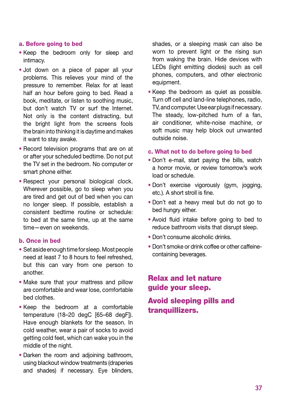#### a. Before going to bed

- Keep the bedroom only for sleep and intimacy.
- Jot down on a piece of paper all your problems. This relieves your mind of the pressure to remember. Relax for at least half an hour before going to bed. Read a book, meditate, or listen to soothing music, but don't watch TV or surf the Internet. Not only is the content distracting, but the bright light from the screens fools the brain into thinking it is daytime and makes it want to stay awake.
- Record television programs that are on at or after your scheduled bedtime. Do not put the TV set in the bedroom. No computer or smart phone either.
- Respect your personal biological clock. Wherever possible, go to sleep when you are tired and get out of bed when you can no longer sleep. If possible, establish a consistent bedtime routine or schedule: to bed at the same time, up at the same time—even on weekends.

#### b. Once in bed

- Set aside enough time for sleep. Most people need at least 7 to 8 hours to feel refreshed, but this can vary from one person to another.
- Make sure that your mattress and pillow are comfortable and wear lose, comfortable bed clothes.
- Keep the bedroom at a comfortable temperature (18–20 degC [65–68 degF]). Have enough blankets for the season. In cold weather, wear a pair of socks to avoid getting cold feet, which can wake you in the middle of the night.
- Darken the room and adioining bathroom, using blackout window treatments (draperies and shades) if necessary. Eye blinders,

shades, or a sleeping mask can also be worn to prevent light or the rising sun from waking the brain. Hide devices with LEDs (light emitting diodes) such as cell phones, computers, and other electronic equipment.

• Keep the bedroom as quiet as possible. Turn off cell and land-line telephones, radio, TV, and computer. Use ear plugs if necessary. The steady, low-pitched hum of a fan, air conditioner, white-noise machine, or soft music may help block out unwanted outside noise.

#### c. What not to do before going to bed

- Don't e-mail, start paying the bills, watch a horror movie, or review tomorrow's work load or schedule.
- Don't exercise vigorously (gym, jogging, etc.). A short stroll is fine.
- Don't eat a heavy meal but do not go to bed hungry either.
- Avoid fluid intake before going to bed to reduce bathroom visits that disrupt sleep.
- Don't consume alcoholic drinks.
- Don't smoke or drink coffee or other caffeinecontaining beverages.

## Relax and let nature guide your sleep. Avoid sleeping pills and tranquillizers.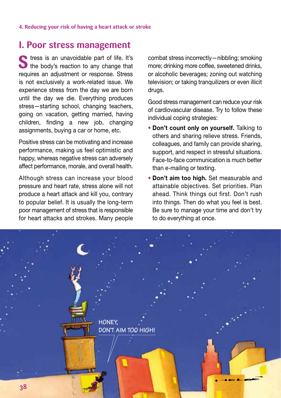## **I. Poor stress management**

**S**tress is an unavoidable part of life. It's **the body's reaction to any change that** requires an adjustment or response. Stress is not exclusively a work-related issue. We experience stress from the day we are born until the day we die. Everything produces stress—starting school, changing teachers, going on vacation, getting married, having children, finding a new job, changing assignments, buying a car or home, etc.

Positive stress can be motivating and increase performance, making us feel optimistic and happy, whereas negative stress can adversely affect performance, morale, and overall health.

Although stress can increase your blood pressure and heart rate, stress alone will not produce a heart attack and kill you, contrary to popular belief. It is usually the long-term poor management of stress that is responsible for heart attacks and strokes. Many people combat stress incorrectly—nibbling; smoking more; drinking more coffee, sweetened drinks, or alcoholic beverages; zoning out watching television; or taking tranquilizers or even illicit drugs.

Good stress management can reduce your risk of cardiovascular disease. Try to follow these individual coping strategies:

- **Don't count only on yourself.** Talking to others and sharing relieve stress. Friends, colleagues, and family can provide sharing, support, and respect in stressful situations. Face-to-face communication is much better than e-mailing or texting.
- **Don't aim too high.** Set measurable and attainable objectives. Set priorities. Plan ahead. Think things out first. Don't rush into things. Then do what you feel is best. Be sure to manage your time and don't try to do everything at once.

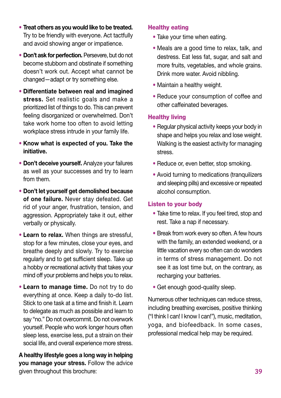- **Treat others as you would like to be treated.** Try to be friendly with everyone. Act tactfully and avoid showing anger or impatience.
- **Don't ask for perfection.** Persevere, but do not become stubborn and obstinate if something doesn't work out. Accept what cannot be changed—adapt or try something else.
- **Differentiate between real and imagined stress.** Set realistic goals and make a prioritized list of things to do. This can prevent feeling disorganized or overwhelmed. Don't take work home too often to avoid letting workplace stress intrude in your family life.
- **Know what is expected of you. Take the initiative.**
- **Don't deceive yourself.** Analyze your failures as well as your successes and try to learn from them.
- **Don't let yourself get demolished because of one failure.** Never stay defeated. Get rid of your anger, frustration, tension, and aggression. Appropriately take it out, either verbally or physically.
- **Learn to relax.** When things are stressful, stop for a few minutes, close your eyes, and breathe deeply and slowly. Try to exercise regularly and to get sufficient sleep. Take up a hobby or recreational activity that takes your mind off your problems and helps you to relax.
- **Learn to manage time.** Do not try to do everything at once. Keep a daily to-do list. Stick to one task at a time and finish it. Learn to delegate as much as possible and learn to say "no." Do not overcommit. Do not overwork yourself. People who work longer hours often sleep less, exercise less, put a strain on their social life, and overall experience more stress.

**A healthy lifestyle goes a long way in helping you manage your stress.** Follow the advice given throughout this brochure:

#### Healthy eating

- Take your time when eating.
- Meals are a good time to relax, talk, and destress. Eat less fat, sugar, and salt and more fruits, vegetables, and whole grains. Drink more water. Avoid nibbling.
- Maintain a healthy weight.
- Reduce your consumption of coffee and other caffeinated beverages.

#### Healthy living

- Regular physical activity keeps your body in shape and helps you relax and lose weight. Walking is the easiest activity for managing stress.
- Reduce or, even better, stop smoking.
- Avoid turning to medications (tranquilizers and sleeping pills) and excessive or repeated alcohol consumption.

#### Listen to your body

- Take time to relax. If you feel tired, stop and rest. Take a nap if necessary.
- Break from work every so often. A few hours with the family, an extended weekend, or a little vacation every so often can do wonders in terms of stress management. Do not see it as lost time but, on the contrary, as recharging your batteries.
- Get enough good-quality sleep.

Numerous other techniques can reduce stress, including breathing exercises, positive thinking ("I think I can! I know I can!"), music, meditation, yoga, and biofeedback. In some cases, professional medical help may be required.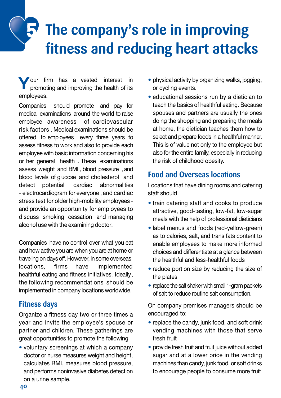# **The company's role in improving**<br>**fitness and reducing heart attacks**

**Y**our firm has a vested interest in promoting and improving the health of its employees.

Companies should promote and pay for medical examinations around the world to raise employee awareness of cardiovascular risk factors . Medical examinations should be offered to employees every three years to assess fitness to work and also to provide each employee with basic information concerning his or her general health . These examinations assess weight and BMI , blood pressure , and blood levels of glucose and cholesterol and detect potential cardiac abnormalities - electrocardiogram for everyone , and cardiac stress test for older high-mobility employees and provide an opportunity for employees to discuss smoking cessation and managing alcohol use with the examining doctor.

Companies have no control over what you eat and how active you are when you are at home or traveling on days off. However, in some overseas locations, , healthful eating and fitness initiatives . Ideally, firms have implemented the following recommendations should be implemented in company locations worldwide.

#### **Fitness days**

Organize a fitness day two or three times a year and invite the employee's spouse or partner and children. These gatherings are great opportunities to promote the following

• voluntary screenings at which a company doctor or nurse measures weight and height. calculates BMI, measures blood pressure, and performs noninvasive diabetes detection on a urine sample.

- physical activity by organizing walks, jogging, or cycling events.
- educational sessions run by a dietician to teach the basics of healthful eating. Because spouses and partners are usually the ones doing the shopping and preparing the meals at home, the dietician teaches them how to select and prepare foods in a healthful manner. This is of value not only to the employee but also for the entire family, especially in reducing the risk of childhood obesity.

## **Food and Overseas locations**

Locations that have dining rooms and catering staff should

- train catering staff and cooks to produce attractive, good-tasting, low-fat, low-sugar meals with the help of professional dieticians
- label menus and foods (red-vellow-green) as to calories, salt, and trans fats content to enable employees to make more informed choices and differentiate at a glance between the healthful and less-healthful foods
- reduce portion size by reducing the size of the plates
- replace the salt shaker with small 1-gram packets of salt to reduce routine salt consumption.

On company premises managers should be encouraged to:

- replace the candy, junk food, and soft drink vending machines with those that serve fresh fruit
- provide fresh fruit and fruit juice without added sugar and at a lower price in the vending machines than candy, junk food, or soft drinks to encourage people to consume more fruit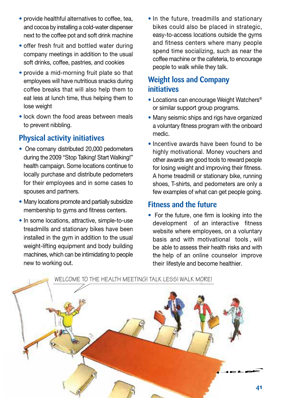- provide healthful alternatives to coffee, tea, and cocoa by installing a cold-water dispenser next to the coffee pot and soft drink machine
- offer fresh fruit and bottled water during company meetings in addition to the usual soft drinks, coffee, pastries, and cookies
- provide a mid-morning fruit plate so that employees will have nutritious snacks during coffee breaks that will also help them to eat less at lunch time, thus helping them to lose weight
- lock down the food areas between meals to prevent nibbling.

## **Physical activity initiatives**

- One comany distributed 20,000 pedometers during the 2009 "Stop Talking! Start Walking!" health campaign. Some locations continue to locally purchase and distribute pedometers for their employees and in some cases to spouses and partners.
- Many locations promote and partially subsidize membership to gyms and fitness centers.
- In some locations, attractive, simple-to-use treadmills and stationary bikes have been installed in the gym in addition to the usual weight-lifting equipment and body building machines, which can be intimidating to people new to working out.

• In the future, treadmills and stationary bikes could also be placed in strategic, easy-to-access locations outside the gyms and fitness centers where many people spend time socializing, such as near the coffee machine or the cafeteria, to encourage people to walk while they talk.

## **Weight loss and Company initiatives**

- Locations can encourage Weight Watchers® or similar support group programs.
- Many seismic ships and rigs have organized a voluntary fitness program with the onboard medic.
- Incentive awards have been found to be highly motivational. Money vouchers and other awards are good tools to reward people for losing weight and improving their fitness. A home treadmill or stationary bike, running shoes, T-shirts, and pedometers are only a few examples of what can get people going.

## **Fitness and the future**

• For the future, one firm is looking into the development of an interactive fitness website where employees, on a voluntary basis and with motivational tools , will be able to assess their health risks and with the help of an online counselor improve their lifestyle and become healthier.

WELCOME TO THE HEALTH MEETING! TALK LESS! WALK MORE!

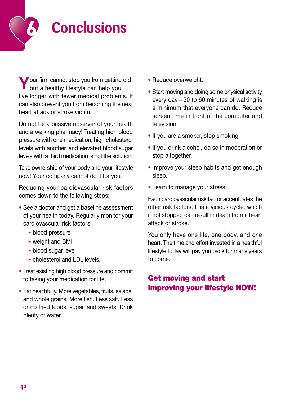

**Y** our firm cannot stop you from getting old,<br>but a healthy lifestyle can help you live longer with fewer medical problems. It can also prevent you from becoming the next heart attack or stroke victim.

Do not be a passive observer of your health and a walking pharmacy! Treating high blood pressure with one medication, high cholesterol levels with another, and elevated blood sugar levels with a third medication is not the solution.

Take ownership of your body and your lifestyle now! Your company cannot do it for you.

Reducing your cardiovascular risk factors comes down to the following steps:

- See a doctor and get a baseline assessment of your health today. Regularly monitor your cardiovascular risk factors:
	- blood pressure
	- weight and BMI
	- blood sugar level
	- cholesterol and LDL levels.
- Treat existing high blood pressure and commit to taking your medication for life.
- Eat healthfully. More vegetables, fruits, salads, and whole grains. More fish. Less salt. Less or no fried foods, sugar, and sweets. Drink plenty of water.
- Reduce overweight.
- Start moving and doing some physical activity every day—30 to 60 minutes of walking is a minimum that everyone can do. Reduce screen time in front of the computer and television.
- If you are a smoker, stop smoking.
- If you drink alcohol, do so in moderation or stop altogether.
- Improve your sleep habits and get enough sleep.
- Learn to manage your stress.

Each cardiovascular risk factor accentuates the other risk factors. It is a vicious cycle, which if not stopped can result in death from a heart attack or stroke.

You only have one life, one body, and one heart. The time and effort invested in a healthful lifestyle today will pay you back for many years to come.

## Get moving and start improving your lifestyle NOW!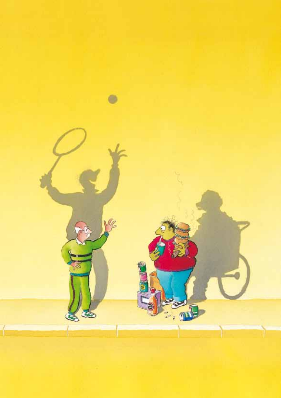